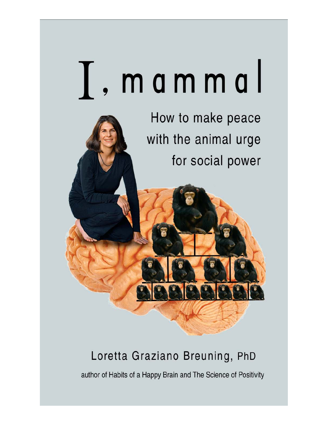# mammal

How to make peace with the animal urge for social power

## Loretta Graziano Breuning, PhD

author of Habits of a Happy Brain and The Science of Positivity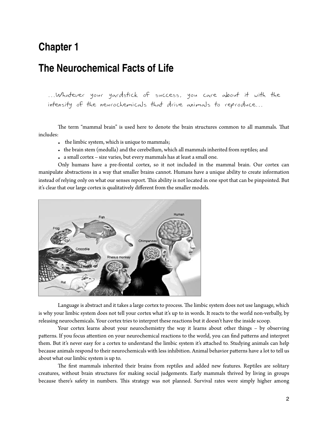## **Chapter 1**

### **The Neurochemical Facts of Life**

...Whatever your yardstick of success, you care about it with the intensity of the neurochemicals that drive animals to reproduce...

The term "mammal brain" is used here to denote the brain structures common to all mammals. That includes:

- the limbic system, which is unique to mammals;
- the brain stem (medulla) and the cerebellum, which all mammals inherited from reptiles; and
- a small cortex size varies, but every mammals has at least a small one.

Only humans have a pre-frontal cortex, so it not included in the mammal brain. Our cortex can manipulate abstractions in a way that smaller brains cannot. Humans have a unique ability to create information instead of relying only on what our senses report. This ability is not located in one spot that can be pinpointed. But it's clear that our large cortex is qualitatively different from the smaller models.



Language is abstract and it takes a large cortex to process. The limbic system does not use language, which is why your limbic system does not tell your cortex what it's up to in words. It reacts to the world non-verbally, by releasing neurochemicals. Your cortex tries to interpret these reactions but it doesn't have the inside scoop.

Your cortex learns about your neurochemistry the way it learns about other things – by observing patterns. If you focus attention on your neurochemical reactions to the world, you can find patterns and interpret them. But it's never easy for a cortex to understand the limbic system it's attached to. Studying animals can help because animals respond to their neurochemicals with less inhibition. Animal behavior patterns have a lot to tell us about what our limbic system is up to.

The first mammals inherited their brains from reptiles and added new features. Reptiles are solitary creatures, without brain structures for making social judgements. Early mammals thrived by living in groups because there's safety in numbers. This strategy was not planned. Survival rates were simply higher among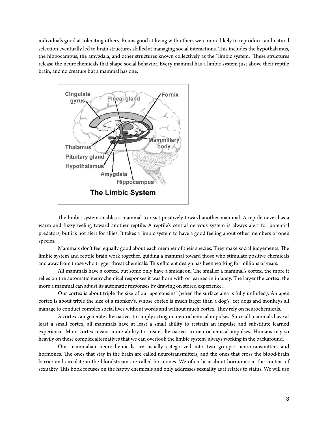individuals good at tolerating others. Brains good at living with others were more likely to reproduce, and natural selection eventually led to brain structures skilled at managing social interactions. This includes the hypothalamus, the hippocampus, the amygdala, and other structures known collectively as the "limbic system." These structures release the neurochemicals that shape social behavior. Every mammal has a limbic system just above their reptile brain, and no creature but a mammal has one.



The limbic system enables a mammal to react positively toward another mammal. A reptile never has a warm and fuzzy feeling toward another reptile. A reptile's central nervous system is always alert for potential predators, but it's not alert for allies. It takes a limbic system to have a good feeling about other members of one's species.

Mammals don't feel equally good about each member of their species. They make social judgements. The limbic system and reptile brain work together, guiding a mammal toward those who stimulate positive chemicals and away from those who trigger threat chemicals. This efficient design has been working for millions of years.

All mammals have a cortex, but some only have a smidgeon. The smaller a mammal's cortex, the more it relies on the automatic neurochemical responses it was born with or learned in infancy. The larger the cortex, the more a mammal can adjust its automatic responses by drawing on stored experience.

Our cortex is about triple the size of our ape cousins' (when the surface area is fully unfurled). An ape's cortex is about triple the size of a monkey's, whose cortex is much larger than a dog's. Yet dogs and monkeys all manage to conduct complex social lives without words and without much cortex. They rely on neurochemicals.

A cortex can generate alternatives to simply acting on neurochemical impulses. Since all mammals have at least a small cortex, all mammals have at least a small ability to restrain an impulse and substitute learned experience. More cortex means more ability to create alternatives to neurochemical impulses. Humans rely so heavily on these complex alternatives that we can overlook the limbic system always working in the background.

Our mammalian neurochemicals are usually categorized into two groups: neurotransmitters and hormones. The ones that stay in the brain are called neurotransmitters, and the ones that cross the blood-brain barrier and circulate in the bloodstream are called hormones. We often hear about hormones in the context of sexuality. This book focuses on the happy chemicals and only addresses sexuality as it relates to status. We will use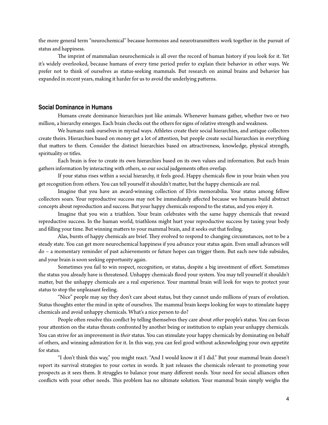the more general term "neurochemical" because hormones and neurotransmitters work together in the pursuit of status and happiness.

The imprint of mammalian neurochemicals is all over the record of human history if you look for it. Yet it's widely overlooked, because humans of every time period prefer to explain their behavior in other ways. We prefer not to think of ourselves as status-seeking mammals. But research on animal brains and behavior has expanded in recent years, making it harder for us to avoid the underlying patterns.

#### **Social Dominance in Humans**

Humans create dominance hierarchies just like animals. Whenever humans gather, whether two or two million, a hierarchy emerges. Each brain checks out the others for signs of relative strength and weakness.

We humans rank ourselves in myriad ways. Athletes create their social hierarchies, and antique collectors create theirs. Hierarchies based on money get a lot of attention, but people create social hierarchies in everything that matters to them. Consider the distinct hierarchies based on attractiveness, knowledge, physical strength, spirituality or titles.

Each brain is free to create its own hierarchies based on its own values and information. But each brain gathers information by interacting with others, so our social judgements often overlap.

If your status rises within a social hierarchy, it feels good. Happy chemicals flow in your brain when you get recognition from others. You can tell yourself it shouldn't matter, but the happy chemicals are real.

Imagine that you have an award-winning collection of Elvis memorabilia. Your status among fellow collectors soars. Your reproductive success may not be immediately affected because we humans build abstract concepts about reproduction and success. But your happy chemicals respond to the status, and you enjoy it.

Imagine that you win a triathlon. Your brain celebrates with the same happy chemicals that reward reproductive success. In the human world, triathlons might hurt your reproductive success by taxing your body and filling your time. But winning matters to your mammal brain, and it seeks out that feeling.

Alas, bursts of happy chemicals are brief. They evolved to respond to changing circumstances, not to be a steady state. You can get more neurochemical happiness if you advance your status again. Even small advances will do – a momentary reminder of past achievements or future hopes can trigger them. But each new tide subsides, and your brain is soon seeking opportunity again.

Sometimes you fail to win respect, recognition, or status, despite a big investment of effort. Sometimes the status you already have is threatened. Unhappy chemicals flood your system. You may tell yourself it shouldn't matter, but the unhappy chemicals are a real experience. Your mammal brain will look for ways to protect your status to stop the unpleasant feeling.

"Nice" people may say they don't care about status, but they cannot undo millions of years of evolution. Status thoughts enter the mind in spite of ourselves. The mammal brain keeps looking for ways to stimulate happy chemicals and avoid unhappy chemicals. What's a nice person to do?

People often resolve this conflict by telling themselves they care about *other* people's status. You can focus your attention on the status threats confronted by another being or institution to explain your unhappy chemicals. You can strive for an improvement in *their* status. You can stimulate your happy chemicals by dominating on behalf of others, and winning admiration for it. In this way, you can feel good without acknowledging your own appetite for status.

"I don't think this way," you might react. "And I would know it if I did." But your mammal brain doesn't report its survival strategies to your cortex in words. It just releases the chemicals relevant to promoting your prospects as it sees them. It struggles to balance your many different needs. Your need for social alliances often conflicts with your other needs. This problem has no ultimate solution. Your mammal brain simply weighs the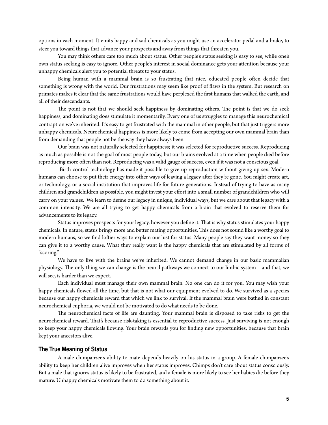options in each moment. It emits happy and sad chemicals as you might use an accelerator pedal and a brake, to steer you toward things that advance your prospects and away from things that threaten you.

You may think others care too much about status. Other people's status seeking is easy to see, while one's own status seeking is easy to ignore. Other people's interest in social dominance gets your attention because your unhappy chemicals alert you to potential threats to your status.

Being human with a mammal brain is so frustrating that nice, educated people often decide that something is wrong with the world. Our frustrations may seem like proof of flaws in the system. But research on primates makes it clear that the same frustrations would have perplexed the first humans that walked the earth, and all of their descendants.

The point is not that we should seek happiness by dominating others. The point is that we do seek happiness, and dominating does stimulate it momentarily. Every one of us struggles to manage this neurochemical contraption we've inherited. It's easy to get frustrated with the mammal in other people, but that just triggers more unhappy chemicals. Neurochemical happiness is more likely to come from accepting our own mammal brain than from demanding that people not be the way they have always been.

Our brain was not naturally selected for happiness; it was selected for reproductive success. Reproducing as much as possible is not the goal of most people today, but our brains evolved at a time when people died before reproducing more often than not. Reproducing was a valid gauge of success, even if it was not a conscious goal.

 Birth control technology has made it possible to give up reproduction without giving up sex. Modern humans can choose to put their energy into other ways of leaving a legacy after they're gone. You might create art, or technology, or a social institution that improves life for future generations. Instead of trying to have as many children and grandchildren as possible, you might invest your effort into a small number of grandchildren who will carry on your values. We learn to define our legacy in unique, individual ways, but we care about that legacy with a common intensity. We are all trying to get happy chemicals from a brain that evolved to reserve them for advancements to its legacy.

Status improves prospects for your legacy, however you define it. That is why status stimulates your happy chemicals. In nature, status brings more and better mating opportunities. This does not sound like a worthy goal to modern humans, so we find loftier ways to explain our lust for status. Many people say they want money so they can give it to a worthy cause. What they really want is the happy chemicals that are stimulated by all forms of "scoring."

We have to live with the brains we've inherited. We cannot demand change in our basic mammalian physiology. The only thing we can change is the neural pathways we connect to our limbic system – and that, we will see, is harder than we expect.

Each individual must manage their own mammal brain. No one can do it for you. You may wish your happy chemicals flowed all the time, but that is not what our equipment evolved to do. We survived as a species because our happy chemicals reward that which we link to survival. If the mammal brain were bathed in constant neurochemical euphoria, we would not be motivated to do what needs to be done.

The neurochemical facts of life are daunting. Your mammal brain is disposed to take risks to get the neurochemical reward. That's because risk-taking is essential to reproductive success. Just surviving is not enough to keep your happy chemicals flowing. Your brain rewards you for finding new opportunities, because that brain kept your ancestors alive.

#### **The True Meaning of Status**

A male chimpanzee's ability to mate depends heavily on his status in a group. A female chimpanzee's ability to keep her children alive improves when her status improves. Chimps don't care about status consciously. But a male that ignores status is likely to be frustrated, and a female is more likely to see her babies die before they mature. Unhappy chemicals motivate them to do something about it.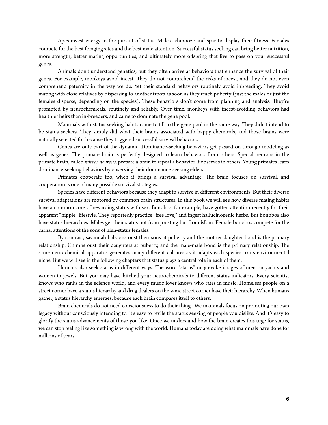Apes invest energy in the pursuit of status. Males schmooze and spar to display their fitness. Females compete for the best foraging sites and the best male attention. Successful status seeking can bring better nutrition, more strength, better mating opportunities, and ultimately more offspring that live to pass on your successful genes.

Animals don't understand genetics, but they often arrive at behaviors that enhance the survival of their genes. For example, monkeys avoid incest. They do not comprehend the risks of incest, and they do not even comprehend paternity in the way we do. Yet their standard behaviors routinely avoid inbreeding. They avoid mating with close relatives by dispersing to another troop as soon as they reach puberty (just the males or just the females disperse, depending on the species). These behaviors don't come from planning and analysis. They're prompted by neurochemicals, routinely and reliably. Over time, monkeys with incest-avoiding behaviors had healthier heirs than in-breeders, and came to dominate the gene pool.

Mammals with status-seeking habits came to fill to the gene pool in the same way. They didn't intend to be status seekers. They simply did what their brains associated with happy chemicals, and those brains were naturally selected for because they triggered successful survival behaviors.

Genes are only part of the dynamic. Dominance-seeking behaviors get passed on through modeling as well as genes. The primate brain is perfectly designed to learn behaviors from others. Special neurons in the primate brain, called *mirror neurons*, prepare a brain to repeat a behavior it observes in others. Young primates learn dominance-seeking behaviors by observing their dominance-seeking elders.

Primates cooperate too, when it brings a survival advantage. The brain focuses on survival, and cooperation is one of many possible survival strategies.

Species have different behaviors because they adapt to survive in different environments. But their diverse survival adaptations are motored by common brain structures. In this book we will see how diverse mating habits have a common core of rewarding status with sex. Bonobos, for example, have gotten attention recently for their apparent "hippie" lifestyle. They reportedly practice "free love," and ingest hallucinogenic herbs. But bonobos also have status hierarchies. Males get their status not from jousting but from Mom. Female bonobos compete for the carnal attentions of the sons of high-status females.

By contrast, savannah baboons oust their sons at puberty and the mother-daughter bond is the primary relationship. Chimps oust their daughters at puberty, and the male-male bond is the primary relationship. The same neurochemical apparatus generates many different cultures as it adapts each species to its environmental niche. But we will see in the following chapters that status plays a central role in each of them.

Humans also seek status in different ways. The word "status" may evoke images of men on yachts and women in jewels. But you may have hitched your neurochemicals to different status indicators. Every scientist knows who ranks in the science world, and every music lover knows who rates in music. Homeless people on a street corner have a status hierarchy and drug dealers on the same street corner have their hierarchy. When humans gather, a status hierarchy emerges, because each brain compares itself to others.

Brain chemicals do not need consciousness to do their thing. We mammals focus on promoting our own legacy without consciously intending to. It's easy to revile the status seeking of people you dislike. And it's easy to glorify the status advancements of those you like. Once we understand how the brain creates this urge for status, we can stop feeling like something is wrong with the world. Humans today are doing what mammals have done for millions of years.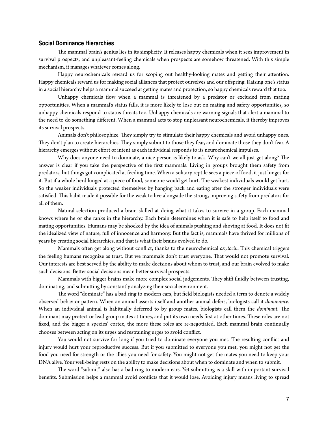#### **Social Dominance Hierarchies**

The mammal brain's genius lies in its simplicity. It releases happy chemicals when it sees improvement in survival prospects, and unpleasant-feeling chemicals when prospects are somehow threatened. With this simple mechanism, it manages whatever comes along.

Happy neurochemicals reward us for scoping out healthy-looking mates and getting their attention. Happy chemicals reward us for making social alliances that protect ourselves and our offspring. Raising one's status in a social hierarchy helps a mammal succeed at getting mates and protection, so happy chemicals reward that too.

Unhappy chemicals flow when a mammal is threatened by a predator or excluded from mating opportunities. When a mammal's status falls, it is more likely to lose out on mating and safety opportunities, so unhappy chemicals respond to status threats too. Unhappy chemicals are warning signals that alert a mammal to the need to do something different. When a mammal acts to stop unpleasant neurochemicals, it thereby improves its survival prospects.

Animals don't philosophize. They simply try to stimulate their happy chemicals and avoid unhappy ones. They don't plan to create hierarchies. They simply submit to those they fear, and dominate those they don't fear. A hierarchy emerges without effort or intent as each individual responds to its neurochemical impulses.

Why does anyone need to dominate, a nice person is likely to ask. Why can't we all just get along? The answer is clear if you take the perspective of the first mammals. Living in groups brought them safety from predators, but things got complicated at feeding time. When a solitary reptile sees a piece of food, it just lunges for it. But if a whole herd lunged at a piece of food, someone would get hurt. The weakest individuals would get hurt. So the weaker individuals protected themselves by hanging back and eating after the stronger individuals were satisfied. This habit made it possible for the weak to live alongside the strong, improving safety from predators for all of them.

Natural selection produced a brain skilled at doing what it takes to survive in a group. Each mammal knows where he or she ranks in the hierarchy. Each brain determines when it is safe to help itself to food and mating opportunities. Humans may be shocked by the idea of animals pushing and shoving at food. It does not fit the idealized view of nature, full of innocence and harmony. But the fact is, mammals have thrived for millions of years by creating social hierarchies, and that is what their brains evolved to do.

Mammals often get along without conflict, thanks to the neurochemical *oxytocin*. This chemical triggers the feeling humans recognize as trust. But we mammals don't trust everyone. That would not promote survival. Our interests are best served by the ability to make decisions about whom to trust, and our brain evolved to make such decisions. Better social decisions mean better survival prospects.

Mammals with bigger brains make more complex social judgements. They shift fluidly between trusting, dominating, and submitting by constantly analyzing their social environment.

The word "dominate" has a bad ring to modern ears, but field biologists needed a term to denote a widely observed behavior pattern. When an animal asserts itself and another animal defers, biologists call it *dominance*. When an individual animal is habitually deferred to by group mates, biologists call them the *dominant*. The dominant may protect or lead group mates at times, and put its own needs first at other times. These roles are not fixed, and the bigger a species' cortex, the more these roles are re-negotiated. Each mammal brain continually chooses between acting on its urges and restraining urges to avoid conflict.

You would not survive for long if you tried to dominate everyone you met. The resulting conflict and injury would hurt your reproductive success. But if you submitted to everyone you met, you might not get the food you need for strength or the allies you need for safety. You might not get the mates you need to keep your DNA alive. Your well-being rests on the ability to make decisions about when to dominate and when to submit.

The word "submit" also has a bad ring to modern ears. Yet submitting is a skill with important survival benefits. Submission helps a mammal avoid conflicts that it would lose. Avoiding injury means living to spread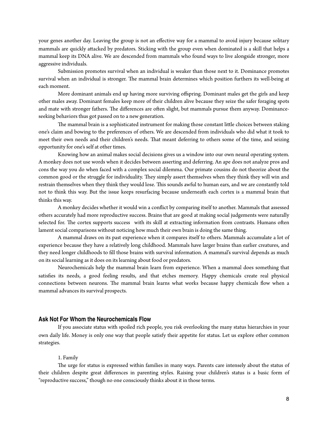your genes another day. Leaving the group is not an effective way for a mammal to avoid injury because solitary mammals are quickly attacked by predators. Sticking with the group even when dominated is a skill that helps a mammal keep its DNA alive. We are descended from mammals who found ways to live alongside stronger, more aggressive individuals.

Submission promotes survival when an individual is weaker than those next to it. Dominance promotes survival when an individual is stronger. The mammal brain determines which position furthers its well-being at each moment.

More dominant animals end up having more surviving offspring. Dominant males get the girls and keep other males away. Dominant females keep more of their children alive because they seize the safer foraging spots and mate with stronger fathers. The differences are often slight, but mammals pursue them anyway. Dominanceseeking behaviors thus got passed on to a new generation.

The mammal brain is a sophisticated instrument for making those constant little choices between staking one's claim and bowing to the preferences of others. We are descended from individuals who did what it took to meet their own needs and their children's needs. That meant deferring to others some of the time, and seizing opportunity for one's self at other times.

Knowing how an animal makes social decisions gives us a window into our own neural operating system. A monkey does not use words when it decides between asserting and deferring. An ape does not analyze pros and cons the way you do when faced with a complex social dilemma. Our primate cousins do not theorize about the common good or the struggle for individuality. They simply assert themselves when they think they will win and restrain themselves when they think they would lose. This sounds awful to human ears, and we are constantly told not to think this way. But the issue keeps resurfacing because underneath each cortex is a mammal brain that thinks this way.

A monkey decides whether it would win a conflict by comparing itself to another. Mammals that assessed others accurately had more reproductive success. Brains that are good at making social judgements were naturally selected for. The cortex supports success with its skill at extracting information from contrasts. Humans often lament social comparisons without noticing how much their own brain is doing the same thing.

A mammal draws on its past experience when it compares itself to others. Mammals accumulate a lot of experience because they have a relatively long childhood. Mammals have larger brains than earlier creatures, and they need longer childhoods to fill those brains with survival information. A mammal's survival depends as much on its social learning as it does on its learning about food or predators.

Neurochemicals help the mammal brain learn from experience. When a mammal does something that satisfies its needs, a good feeling results, and that etches memory. Happy chemicals create real physical connections between neurons. The mammal brain learns what works because happy chemicals flow when a mammal advances its survival prospects.

#### **Ask Not For Whom the Neurochemicals Flow**

If you associate status with spoiled rich people, you risk overlooking the many status hierarchies in your own daily life. Money is only one way that people satisfy their appetite for status. Let us explore other common strategies.

#### 1. Family

The urge for status is expressed within families in many ways. Parents care intensely about the status of their children despite great differences in parenting styles. Raising your children's status is a basic form of "reproductive success," though no one consciously thinks about it in those terms.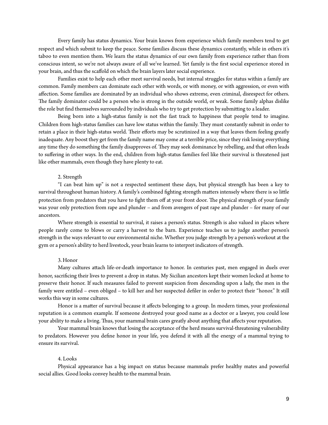Every family has status dynamics. Your brain knows from experience which family members tend to get respect and which submit to keep the peace. Some families discuss these dynamics constantly, while in others it's taboo to even mention them. We learn the status dynamics of our own family from experience rather than from conscious intent, so we're not always aware of all we've learned. Yet family is the first social experience stored in your brain, and thus the scaffold on which the brain layers later social experience.

Families exist to help each other meet survival needs, but internal struggles for status within a family are common. Family members can dominate each other with words, or with money, or with aggression, or even with affection. Some families are dominated by an individual who shows extreme, even criminal, disrespect for others. The family dominator could be a person who is strong in the outside world, or weak. Some family alphas dislike the role but find themselves surrounded by individuals who try to get protection by submitting to a leader.

Being born into a high-status family is not the fast track to happiness that people tend to imagine. Children from high-status families can have low status within the family. They must constantly submit in order to retain a place in their high-status world. Their efforts may be scrutinized in a way that leaves them feeling greatly inadequate. Any boost they get from the family name may come at a terrible price, since they risk losing everything any time they do something the family disapproves of. They may seek dominance by rebelling, and that often leads to suffering in other ways. In the end, children from high-status families feel like their survival is threatened just like other mammals, even though they have plenty to eat.

#### 2. Strength

"I can beat him up" is not a respected sentiment these days, but physical strength has been a key to survival throughout human history. A family's combined fighting strength matters intensely where there is so little protection from predators that you have to fight them off at your front door. The physical strength of your family was your only protection from rape and plunder – and from avengers of past rape and plunder – for many of our ancestors.

Where strength is essential to survival, it raises a person's status. Strength is also valued in places where people rarely come to blows or carry a harvest to the barn. Experience teaches us to judge another person's strength in the ways relevant to our environmental niche. Whether you judge strength by a person's workout at the gym or a person's ability to herd livestock, your brain learns to interpret indicators of strength.

#### 3. Honor

Many cultures attach life-or-death importance to honor. In centuries past, men engaged in duels over honor, sacrificing their lives to prevent a drop in status. My Sicilian ancestors kept their women locked at home to preserve their honor. If such measures failed to prevent suspicion from descending upon a lady, the men in the family were entitled – even obliged – to kill her and her suspected defiler in order to protect their "honor." It still works this way in some cultures.

Honor is a matter of survival because it affects belonging to a group. In modern times, your professional reputation is a common example. If someone destroyed your good name as a doctor or a lawyer, you could lose your ability to make a living. Thus, your mammal brain cares greatly about anything that affects your reputation.

Your mammal brain knows that losing the acceptance of the herd means survival-threatening vulnerability to predators. However you define honor in your life, you defend it with all the energy of a mammal trying to ensure its survival.

#### 4. Looks

Physical appearance has a big impact on status because mammals prefer healthy mates and powerful social allies. Good looks convey health to the mammal brain.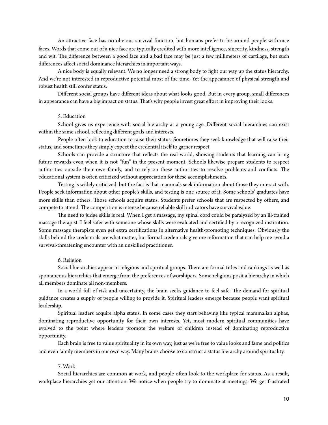An attractive face has no obvious survival function, but humans prefer to be around people with nice faces. Words that come out of a nice face are typically credited with more intelligence, sincerity, kindness, strength and wit. The difference between a good face and a bad face may be just a few millimeters of cartilage, but such differences affect social dominance hierarchies in important ways.

A nice body is equally relevant. We no longer need a strong body to fight our way up the status hierarchy. And we're not interested in reproductive potential most of the time. Yet the appearance of physical strength and robust health still confer status.

Different social groups have different ideas about what looks good. But in every group, small differences in appearance can have a big impact on status. That's why people invest great effort in improving their looks.

#### 5. Education

School gives us experience with social hierarchy at a young age. Different social hierarchies can exist within the same school, reflecting different goals and interests.

People often look to education to raise their status. Sometimes they seek knowledge that will raise their status, and sometimes they simply expect the credential itself to garner respect.

Schools can provide a structure that reflects the real world, showing students that learning can bring future rewards even when it is not "fun" in the present moment. Schools likewise prepare students to respect authorities outside their own family, and to rely on these authorities to resolve problems and conflicts. The educational system is often criticized without appreciation for these accomplishments.

Testing is widely criticized, but the fact is that mammals seek information about those they interact with. People seek information about other people's skills, and testing is one source of it. Some schools' graduates have more skills than others. Those schools acquire status. Students prefer schools that are respected by others, and compete to attend. The competition is intense because reliable skill indicators have survival value.

The need to judge skills is real. When I get a massage, my spinal cord could be paralyzed by an ill-trained massage therapist. I feel safer with someone whose skills were evaluated and certified by a recognized institution. Some massage therapists even get extra certifications in alternative health-promoting techniques. Obviously the skills behind the credentials are what matter, but formal credentials give me information that can help me avoid a survival-threatening encounter with an unskilled practitioner.

#### 6. Religion

Social hierarchies appear in religious and spiritual groups. There are formal titles and rankings as well as spontaneous hierarchies that emerge from the preferences of worshipers. Some religions posit a hierarchy in which all members dominate all non-members.

In a world full of risk and uncertainty, the brain seeks guidance to feel safe. The demand for spiritual guidance creates a supply of people willing to provide it. Spiritual leaders emerge because people want spiritual leadership.

Spiritual leaders acquire alpha status. In some cases they start behaving like typical mammalian alphas, dominating reproductive opportunity for their own interests. Yet, most modern spiritual communities have evolved to the point where leaders promote the welfare of children instead of dominating reproductive opportunity.

Each brain is free to value spirituality in its own way, just as we're free to value looks and fame and politics and even family members in our own way. Many brains choose to construct a status hierarchy around spirituality.

#### 7. Work

Social hierarchies are common at work, and people often look to the workplace for status. As a result, workplace hierarchies get our attention. We notice when people try to dominate at meetings. We get frustrated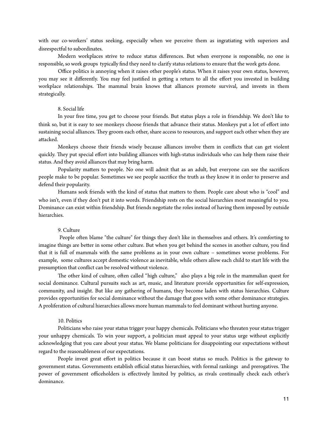with our co-workers' status seeking, especially when we perceive them as ingratiating with superiors and disrespectful to subordinates.

Modern workplaces strive to reduce status differences. But when everyone is responsible, no one is responsible, so work groups typically find they need to clarify status relations to ensure that the work gets done.

Office politics is annoying when it raises other people's status. When it raises your own status, however, you may see it differently. You may feel justified in getting a return to all the effort you invested in building workplace relationships. The mammal brain knows that alliances promote survival, and invests in them strategically.

#### 8. Social life

In your free time, you get to choose your friends. But status plays a role in friendship. We don't like to think so, but it is easy to see monkeys choose friends that advance their status. Monkeys put a lot of effort into sustaining social alliances. They groom each other, share access to resources, and support each other when they are attacked.

Monkeys choose their friends wisely because alliances involve them in conflicts that can get violent quickly. They put special effort into building alliances with high-status individuals who can help them raise their status. And they avoid alliances that may bring harm.

Popularity matters to people. No one will admit that as an adult, but everyone can see the sacrifices people make to be popular. Sometimes we see people sacrifice the truth as they know it in order to preserve and defend their popularity.

Humans seek friends with the kind of status that matters to them. People care about who is "cool" and who isn't, even if they don't put it into words. Friendship rests on the social hierarchies most meaningful to you. Dominance can exist within friendship. But friends negotiate the roles instead of having them imposed by outside hierarchies.

#### 9. Culture

 People often blame "the culture" for things they don't like in themselves and others. It's comforting to imagine things are better in some other culture. But when you get behind the scenes in another culture, you find that it is full of mammals with the same problems as in your own culture – sometimes worse problems. For example, some cultures accept domestic violence as inevitable, while others allow each child to start life with the presumption that conflict can be resolved without violence.

The other kind of culture, often called "high culture," also plays a big role in the mammalian quest for social dominance. Cultural pursuits such as art, music, and literature provide opportunities for self-expression, community, and insight. But like any gathering of humans, they become laden with status hierarchies. Culture provides opportunities for social dominance without the damage that goes with some other dominance strategies. A proliferation of cultural hierarchies allows more human mammals to feel dominant without hurting anyone.

#### 10. Politics

Politicians who raise your status trigger your happy chemicals. Politicians who threaten your status trigger your unhappy chemicals. To win your support, a politician must appeal to your status urge without explicitly acknowledging that you care about your status. We blame politicians for disappointing our expectations without regard to the reasonableness of our expectations.

People invest great effort in politics because it can boost status so much. Politics is the gateway to government status. Governments establish official status hierarchies, with formal rankings and prerogatives. The power of government officeholders is effectively limited by politics, as rivals continually check each other's dominance.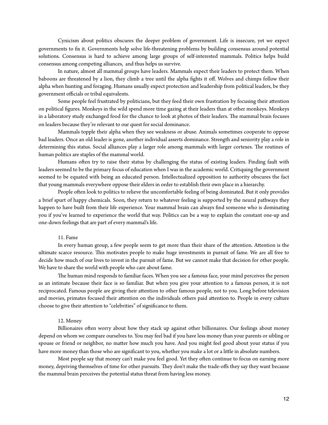Cynicism about politics obscures the deeper problem of government. Life is insecure, yet we expect governments to fix it. Governments help solve life-threatening problems by building consensus around potential solutions. Consensus is hard to achieve among large groups of self-interested mammals. Politics helps build consensus among competing alliances, and thus helps us survive.

In nature, almost all mammal groups have leaders. Mammals expect their leaders to protect them. When baboons are threatened by a lion, they climb a tree until the alpha fights it off. Wolves and chimps follow their alpha when hunting and foraging. Humans usually expect protection and leadership from political leaders, be they government officials or tribal equivalents.

Some people feel frustrated by politicians, but they feed their own frustration by focusing their attention on political figures. Monkeys in the wild spend more time gazing at their leaders than at other monkeys. Monkeys in a laboratory study exchanged food for the chance to look at photos of their leaders. The mammal brain focuses on leaders because they're relevant to our quest for social dominance.

Mammals topple their alpha when they see weakness or abuse. Animals sometimes cooperate to oppose bad leaders. Once an old leader is gone, another individual asserts dominance. Strength and seniority play a role in determining this status. Social alliances play a larger role among mammals with larger cortexes. The routines of human politics are staples of the mammal world.

Humans often try to raise their status by challenging the status of existing leaders. Finding fault with leaders seemed to be the primary focus of education when I was in the academic world. Critiquing the government seemed to be equated with being an educated person. Intellectualized opposition to authority obscures the fact that young mammals everywhere oppose their elders in order to establish their own place in a hierarchy.

People often look to politics to relieve the uncomfortable feeling of being dominated. But it only provides a brief spurt of happy chemicals. Soon, they return to whatever feeling is supported by the neural pathways they happen to have built from their life experience. Your mammal brain can always find someone who is dominating you if you've learned to experience the world that way. Politics can be a way to explain the constant one-up and one-down feelings that are part of every mammal's life.

#### 11. Fame

In every human group, a few people seem to get more than their share of the attention. Attention is the ultimate scarce resource. This motivates people to make huge investments in pursuit of fame. We are all free to decide how much of our lives to invest in the pursuit of fame. But we cannot make that decision for other people. We have to share the world with people who care about fame.

The human mind responds to familiar faces. When you see a famous face, your mind perceives the person as an intimate because their face is so familiar. But when you give your attention to a famous person, it is not reciprocated. Famous people are giving their attention to other famous people, not to you. Long before television and movies, primates focused their attention on the individuals others paid attention to. People in every culture choose to give their attention to "celebrities" of significance to them.

#### 12. Money

Billionaires often worry about how they stack up against other billionaires. Our feelings about money depend on whom we compare ourselves to. You may feel bad if you have less money than your parents or sibling or spouse or friend or neighbor, no matter how much you have. And you might feel good about your status if you have more money than those who are significant to you, whether you make a lot or a little in absolute numbers.

Most people say that money can't make you feel good. Yet they often continue to focus on earning more money, depriving themselves of time for other pursuits. They don't make the trade-offs they say they want because the mammal brain perceives the potential status threat from having less money.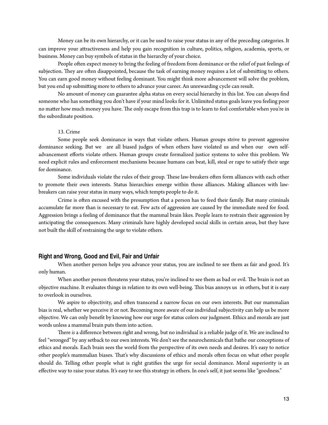Money can be its own hierarchy, or it can be used to raise your status in any of the preceding categories. It can improve your attractiveness and help you gain recognition in culture, politics, religion, academia, sports, or business. Money can buy symbols of status in the hierarchy of your choice.

People often expect money to bring the feeling of freedom from dominance or the relief of past feelings of subjection. They are often disappointed, because the task of earning money requires a lot of submitting to others. You can earn good money without feeling dominant. You might think more advancement will solve the problem, but you end up submitting more to others to advance your career. An unrewarding cycle can result.

No amount of money can guarantee alpha status on every social hierarchy in this list. You can always find someone who has something you don't have if your mind looks for it. Unlimited status goals leave you feeling poor no matter how much money you have. The only escape from this trap is to learn to feel comfortable when you're in the subordinate position.

#### 13. Crime

Some people seek dominance in ways that violate others. Human groups strive to prevent aggressive dominance seeking. But we are all biased judges of when others have violated us and when our own selfadvancement efforts violate others. Human groups create formalized justice systems to solve this problem. We need explicit rules and enforcement mechanisms because humans can beat, kill, steal or rape to satisfy their urge for dominance.

Some individuals violate the rules of their group. These law-breakers often form alliances with each other to promote their own interests. Status hierarchies emerge within those alliances. Making alliances with lawbreakers can raise your status in many ways, which tempts people to do it.

Crime is often excused with the presumption that a person has to feed their family. But many criminals accumulate far more than is necessary to eat. Few acts of aggression are caused by the immediate need for food. Aggression brings a feeling of dominance that the mammal brain likes. People learn to restrain their aggression by anticipating the consequences. Many criminals have highly developed social skills in certain areas, but they have not built the skill of restraining the urge to violate others.

#### **Right and Wrong, Good and Evil, Fair and Unfair**

When another person helps you advance your status, you are inclined to see them as fair and good. It's only human.

When another person threatens your status, you're inclined to see them as bad or evil. The brain is not an objective machine. It evaluates things in relation to its own well-being. This bias annoys us in others, but it is easy to overlook in ourselves.

We aspire to objectivity, and often transcend a narrow focus on our own interests. But our mammalian bias is real, whether we perceive it or not. Becoming more aware of our individual subjectivity can help us be more objective. We can only benefit by knowing how our urge for status colors our judgment. Ethics and morals are just words unless a mammal brain puts them into action.

There *is* a difference between right and wrong, but no individual is a reliable judge of it. We are inclined to feel "wronged" by any setback to our own interests. We don't see the neurochemicals that bathe our conceptions of ethics and morals. Each brain sees the world from the perspective of its own needs and desires. It's easy to notice other people's mammalian biases. That's why discussions of ethics and morals often focus on what other people should do. Telling other people what is right gratifies the urge for social dominance. Moral superiority is an effective way to raise your status. It's easy to see this strategy in others. In one's self, it just seems like "goodness."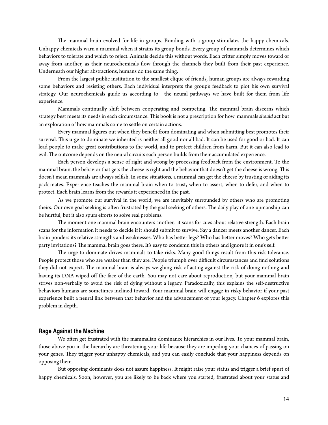The mammal brain evolved for life in groups. Bonding with a group stimulates the happy chemicals. Unhappy chemicals warn a mammal when it strains its group bonds. Every group of mammals determines which behaviors to tolerate and which to reject. Animals decide this without words. Each critter simply moves toward or away from another, as their neurochemicals flow through the channels they built from their past experience. Underneath our higher abstractions, humans do the same thing.

From the largest public institution to the smallest clique of friends, human groups are always rewarding some behaviors and resisting others. Each individual interprets the group's feedback to plot his own survival strategy. Our neurochemicals guide us according to the neural pathways we have built for them from life experience.

Mammals continually shift between cooperating and competing. The mammal brain discerns which strategy best meets its needs in each circumstance. This book is not a prescription for how mammals *should* act but an exploration of how mammals come to settle on certain actions.

Every mammal figures out when they benefit from dominating and when submitting best promotes their survival. This urge to dominate we inherited is neither all good nor all bad. It can be used for good or bad. It can lead people to make great contributions to the world, and to protect children from harm. But it can also lead to evil. The outcome depends on the neural circuits each person builds from their accumulated experience.

Each person develops a sense of right and wrong by processing feedback from the environment. To the mammal brain, the behavior that gets the cheese is right and the behavior that doesn't get the cheese is wrong. This doesn't mean mammals are always selfish. In some situations, a mammal can get the cheese by trusting or aiding its pack-mates. Experience teaches the mammal brain when to trust, when to assert, when to defer, and when to protect. Each brain learns from the rewards it experienced in the past.

As we promote our survival in the world, we are inevitably surrounded by others who are promoting theirs. Our own goal seeking is often frustrated by the goal seeking of others. The daily play of one-upmanship can be hurtful, but it also spurs efforts to solve real problems.

The moment one mammal brain encounters another, it scans for cues about relative strength. Each brain scans for the information it needs to decide if it should submit to survive. Say a dancer meets another dancer. Each brain ponders its relative strengths and weaknesses. Who has better legs? Who has better moves? Who gets better party invitations? The mammal brain goes there. It's easy to condemn this in others and ignore it in one's self.

The urge to dominate drives mammals to take risks. Many good things result from this risk tolerance. People protect those who are weaker than they are. People triumph over difficult circumstances and find solutions they did not expect. The mammal brain is always weighing risk of acting against the risk of doing nothing and having its DNA wiped off the face of the earth. You may not care about reproduction, but your mammal brain strives non-verbally to avoid the risk of dying without a legacy. Paradoxically, this explains the self-destructive behaviors humans are sometimes inclined toward. Your mammal brain will engage in risky behavior if your past experience built a neural link between that behavior and the advancement of your legacy. Chapter 6 explores this problem in depth.

#### **Rage Against the Machine**

We often get frustrated with the mammalian dominance hierarchies in our lives. To your mammal brain, those above you in the hierarchy are threatening your life because they are impeding your chances of passing on your genes. They trigger your unhappy chemicals, and you can easily conclude that your happiness depends on opposing them.

But opposing dominants does not assure happiness. It might raise your status and trigger a brief spurt of happy chemicals. Soon, however, you are likely to be back where you started, frustrated about your status and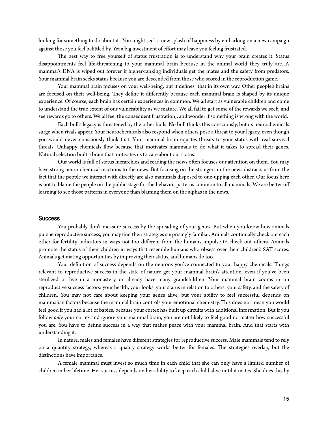looking for something to do about it.. You might seek a new splash of happiness by embarking on a new campaign against those you feel belittled by. Yet a big investment of effort may leave you feeling frustrated.

The best way to free yourself of status frustration is to understand why your brain creates it. Status disappointments feel life-threatening to your mammal brain because in the animal world they truly are. A mammal's DNA is wiped out forever if higher-ranking individuals get the mates and the safety from predators. Your mammal brain seeks status because you are descended from those who scored in the reproduction game.

Your mammal brain focuses on your well-being, but it defines that in its own way. Other people's brains are focused on their well-being. They define it differently because each mammal brain is shaped by its unique experience. Of course, each brain has certain experiences in common. We all start as vulnerable children and come to understand the true extent of our vulnerability as we mature. We all fail to get some of the rewards we seek, and see rewards go to others. We all feel the consequent frustration;, and wonder if something is wrong with the world.

Each bull's legacy is threatened by the other bulls. No bull thinks this consciously, but its neurochemicals surge when rivals appear. Your neurochemicals also respond when others pose a threat to your legacy, even though you would never consciously think that. Your mammal brain equates threats to your status with real survival threats. Unhappy chemicals flow because that motivates mammals to do what it takes to spread their genes. Natural selection built a brain that motivates us to care about our status.

Our world is full of status hierarchies and reading the news often focuses our attention on them. You may have strong neuro-chemical reactions to the news. But focusing on the strangers in the news distracts us from the fact that the people we interact with directly are also mammals disposed to one-upping each other. Our focus here is not to blame the people on the public stage for the behavior patterns common to all mammals. We are better off learning to see those patterns in everyone than blaming them on the alphas in the news.

#### **Success**

You probably don't measure success by the spreading of your genes. But when you know how animals pursue reproductive success, you may find their strategies surprisingly familiar. Animals continually check out each other for fertility indicators in ways not too different from the humans impulse to check out others. Animals promote the status of their children in ways that resemble humans who obsess over their children's SAT scores. Animals get mating opportunities by improving their status, and humans do too.

Your definition of success depends on the neurons you've connected to your happy chemicals. Things relevant to reproductive success in the state of nature get your mammal brain's attention, even if you've been sterilized or live in a monastery or already have many grandchildren. Your mammal brain zooms in on reproductive success factors: your health, your looks, your status in relation to others, your safety, and the safety of children. You may not care about keeping your genes alive, but your ability to feel successful depends on mammalian factors because the mammal brain controls your emotional chemistry. This does not mean you would feel good if you had a lot of babies, because your cortex has built up circuits with additional information. But if you follow *only* your cortex and ignore your mammal brain, you are not likely to feel good no matter how successful you are. You have to define success in a way that makes peace with your mammal brain. And that starts with understanding it.

In nature, males and females have different strategies for reproductive success. Male mammals tend to rely on a quantity strategy, whereas a quality strategy works better for females. The strategies overlap, but the distinctions have importance.

A female mammal must invest so much time in each child that she can only have a limited number of children in her lifetime. Her success depends on her ability to keep each child alive until it mates. She does this by